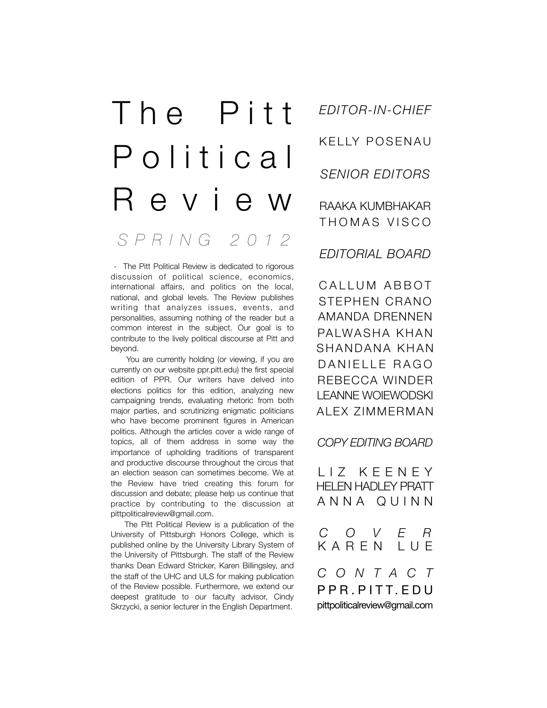# *SPRING 2012* The Pitt P o l i t i c a l Review

 - The Pitt Political Review is dedicated to rigorous discussion of political science, economics, international affairs, and politics on the local, national, and global levels. The Review publishes writing that analyzes issues, events, and personalities, assuming nothing of the reader but a common interest in the subject. Our goal is to contribute to the lively political discourse at Pitt and beyond.

 You are currently holding (or viewing, if you are currently on our website ppr.pitt.edu) the first special edition of PPR. Our writers have delved into elections politics for this edition, analyzing new campaigning trends, evaluating rhetoric from both major parties, and scrutinizing enigmatic politicians who have become prominent figures in American politics. Although the articles cover a wide range of topics, all of them address in some way the importance of upholding traditions of transparent and productive discourse throughout the circus that an election season can sometimes become. We at the Review have tried creating this forum for discussion and debate; please help us continue that practice by contributing to the discussion at pittpoliticalreview@gmail.com.

 The Pitt Political Review is a publication of the University of Pittsburgh Honors College, which is published online by the University Library System of the University of Pittsburgh. The staff of the Review thanks Dean Edward Stricker, Karen Billingsley, and the staff of the UHC and ULS for making publication of the Review possible. Furthermore, we extend our deepest gratitude to our faculty advisor, Cindy Skrzycki, a senior lecturer in the English Department.

*EDITOR-IN-CHIEF* KELLY POSENAU *SENIOR EDITORS* RAAKA KUMBHAKAR THOMAS VISCO

*EDITORIAL BOARD*

CALLUM ABBOT STEPHEN CRANO AMANDA DRENNEN PALWASHA KHAN SHANDANA KHAN DANIELLE RAGO REBECCA WINDER LEANNE WOIEWODSKI ALEX ZIMMERMAN

*COPY EDITING BOARD*

LIZ KEENEY HELEN HADLEY PRATT ANNA QUINN

*COVER* KAREN LUE *CONTACT*

PPR.PITT.EDU pittpoliticalreview@gmail.com